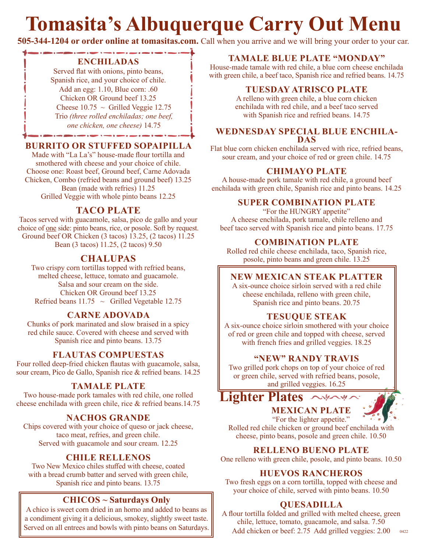# **Tomasita's Albuquerque Carry Out Menu**

**505-344-1204 or order online at tomasitas.com.** Call when you arrive and we will bring your order to your car.

#### **ENCHILADAS**

Served flat with onions, pinto beans, Spanish rice, and your choice of chile. Add an egg: 1.10, Blue corn: .60 Chicken OR Ground beef 13.25 Cheese  $10.75 \sim$  Grilled Veggie 12.75 Trio *(three rolled enchiladas; one beef, one chicken, one cheese)* 14.75

#### **BURRITO OR STUFFED SOPAIPILLA**

Made with "La La's" house-made flour tortilla and smothered with cheese and your choice of chile. Choose one: Roast beef, Ground beef, Carne Adovada Chicken, Combo (refried beans and ground beef) 13.25 Bean (made with refries) 11.25 Grilled Veggie with whole pinto beans 12.25

#### **TACO PLATE**

Tacos served with guacamole, salsa, pico de gallo and your choice of one side: pinto beans, rice, or posole. Soft by request. Ground beef OR Chicken (3 tacos) 13.25, (2 tacos) 11.25 Bean (3 tacos) 11.25, (2 tacos) 9.50

#### **CHALUPAS**

Two crispy corn tortillas topped with refried beans, melted cheese, lettuce, tomato and guacamole. Salsa and sour cream on the side. Chicken OR Ground beef 13.25 Refried beans  $11.75 \sim$  Grilled Vegetable 12.75

#### **CARNE ADOVADA**

Chunks of pork marinated and slow braised in a spicy red chile sauce. Covered with cheese and served with Spanish rice and pinto beans. 13.75

#### **FLAUTAS COMPUESTAS**

Four rolled deep-fried chicken flautas with guacamole, salsa, sour cream, Pico de Gallo, Spanish rice & refried beans. 14.25

#### **TAMALE PLATE**

Two house-made pork tamales with red chile, one rolled cheese enchilada with green chile, rice & refried beans.14.75

#### **NACHOS GRANDE**

Chips covered with your choice of queso or jack cheese, taco meat, refries, and green chile. Served with guacamole and sour cream. 12.25

#### **CHILE RELLENOS**

Two New Mexico chiles stuffed with cheese, coated with a bread crumb batter and served with green chile, Spanish rice and pinto beans. 13.75

#### **CHICOS ~ Saturdays Only**

A chico is sweet corn dried in an horno and added to beans as a condiment giving it a delicious, smokey, slightly sweet taste.

#### **TAMALE BLUE PLATE "MONDAY"**

House-made tamale with red chile, a blue corn cheese enchilada with green chile, a beef taco, Spanish rice and refried beans. 14.75

#### **TUESDAY ATRISCO PLATE**

A relleno with green chile, a blue corn chicken enchilada with red chile, and a beef taco served with Spanish rice and refried beans. 14.75

## **WEDNESDAY SPECIAL BLUE ENCHILA- DAS**

Flat blue corn chicken enchilada served with rice, refried beans, sour cream, and your choice of red or green chile. 14.75

#### **CHIMAYO PLATE**

A house-made pork tamale with red chile, a ground beef enchilada with green chile, Spanish rice and pinto beans. 14.25

#### **SUPER COMBINATION PLATE**

"For the HUNGRY appetite" A cheese enchilada, pork tamale, chile relleno and beef taco served with Spanish rice and pinto beans. 17.75

#### **COMBINATION PLATE**

Rolled red chile cheese enchilada, taco, Spanish rice, posole, pinto beans and green chile. 13.25

#### **NEW MEXICAN STEAK PLATTER**

A six-ounce choice sirloin served with a red chile cheese enchilada, relleno with green chile, Spanish rice and pinto beans. 20.75

#### **TESUQUE STEAK**

A six-ounce choice sirloin smothered with your choice of red or green chile and topped with cheese, served with french fries and grilled veggies. 18.25

#### **"NEW" RANDY TRAVIS**

Two grilled pork chops on top of your choice of red or green chile, served with refried beans, posole, and grilled veggies. 16.25

**MEXICAN PLATE Lighter Plates**



"For the lighter appetite." Rolled red chile chicken or ground beef enchilada with cheese, pinto beans, posole and green chile. 10.50

#### **RELLENO BUENO PLATE**

One relleno with green chile, posole, and pinto beans. 10.50

#### **HUEVOS RANCHEROS**

Two fresh eggs on a corn tortilla, topped with cheese and your choice of chile, served with pinto beans. 10.50

#### **QUESADILLA**

A flour tortilla folded and grilled with melted cheese, green chile, lettuce, tomato, guacamole, and salsa. 7.50 Add chicken or beef: 2.75 Add grilled veggies: 2.00 Served on all entrees and bowls with pinto beans on Saturdays. Add chicken or beef: 2.75 Add grilled veggies: 2.00 0422